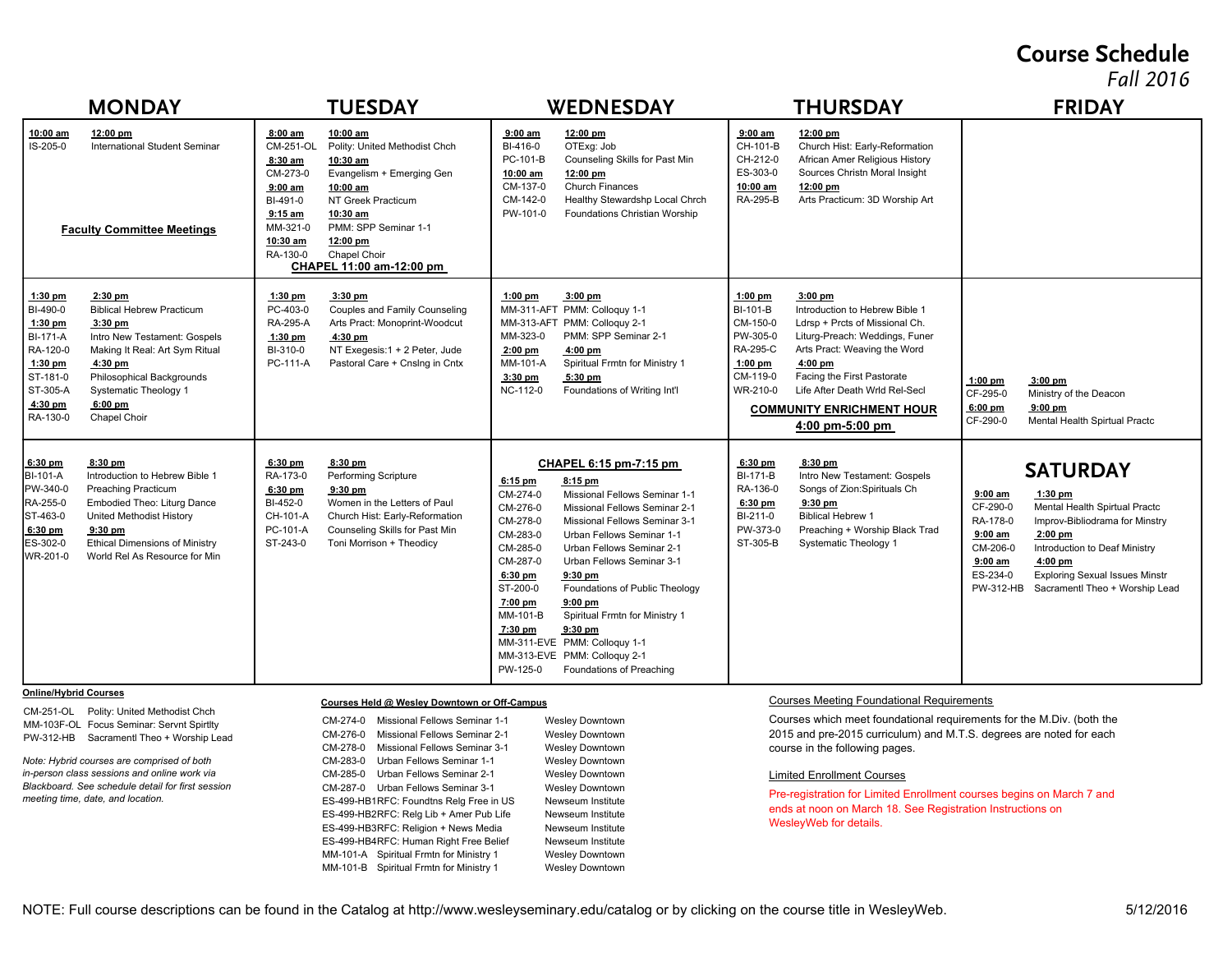### **Course Schedule**

*Fall 2016*

| <b>MONDAY</b>                                                                                                                                                                                                                                                                                                                                             | <b>TUESDAY</b>                                                                                                                                                                                                                                                                                                                                                                                                                                                                                                                                                               | WEDNESDAY                                                                                                                                                                                                                                                                                                                                                                                                                                                                                                                                                                                      | <b>THURSDAY</b>                                                                                                                                                                                                                                                                                                                                                                                                                          | <b>FRIDAY</b>                                                                                                                                                                                                                                                                                                                           |
|-----------------------------------------------------------------------------------------------------------------------------------------------------------------------------------------------------------------------------------------------------------------------------------------------------------------------------------------------------------|------------------------------------------------------------------------------------------------------------------------------------------------------------------------------------------------------------------------------------------------------------------------------------------------------------------------------------------------------------------------------------------------------------------------------------------------------------------------------------------------------------------------------------------------------------------------------|------------------------------------------------------------------------------------------------------------------------------------------------------------------------------------------------------------------------------------------------------------------------------------------------------------------------------------------------------------------------------------------------------------------------------------------------------------------------------------------------------------------------------------------------------------------------------------------------|------------------------------------------------------------------------------------------------------------------------------------------------------------------------------------------------------------------------------------------------------------------------------------------------------------------------------------------------------------------------------------------------------------------------------------------|-----------------------------------------------------------------------------------------------------------------------------------------------------------------------------------------------------------------------------------------------------------------------------------------------------------------------------------------|
| 10:00 am<br>12:00 pm<br>IS-205-0<br><b>International Student Seminar</b><br><b>Faculty Committee Meetings</b>                                                                                                                                                                                                                                             | 8:00 am<br>10:00 am<br>CM-251-OL<br>Polity: United Methodist Chch<br>8:30 am<br>10:30 am<br>CM-273-0<br>Evangelism + Emerging Gen<br>10:00 am<br>9:00 am<br>BI-491-0<br>NT Greek Practicum<br>$9:15$ am<br>10:30 am<br>MM-321-0<br>PMM: SPP Seminar 1-1<br>10:30 am<br>12:00 pm<br>Chapel Choir<br>RA-130-0<br>CHAPEL 11:00 am-12:00 pm                                                                                                                                                                                                                                      | 9:00 am<br>12:00 pm<br>BI-416-0<br>OTExg: Job<br>Counseling Skills for Past Min<br>PC-101-B<br>10:00 am<br>12:00 pm<br>CM-137-0<br><b>Church Finances</b><br>CM-142-0<br>Healthy Stewardshp Local Chrch<br>PW-101-0<br>Foundations Christian Worship                                                                                                                                                                                                                                                                                                                                           | 9:00 am<br>$12:00$ pm<br>CH-101-B<br>Church Hist: Early-Reformation<br>CH-212-0<br>African Amer Religious History<br>ES-303-0<br>Sources Christn Moral Insight<br>10:00 am<br>12:00 pm<br>RA-295-B<br>Arts Practicum: 3D Worship Art                                                                                                                                                                                                     |                                                                                                                                                                                                                                                                                                                                         |
| $1:30$ pm<br>$2:30$ pm<br>BI-490-0<br><b>Biblical Hebrew Practicum</b><br>1:30 pm<br>$3:30$ pm<br><b>BI-171-A</b><br>Intro New Testament: Gospels<br>RA-120-0<br>Making It Real: Art Sym Ritual<br>$1:30$ pm<br>4:30 pm<br>ST-181-0<br>Philosophical Backgrounds<br>ST-305-A<br>Systematic Theology 1<br>$6:00$ pm<br>4:30 pm<br>RA-130-0<br>Chapel Choir | $1:30$ pm<br>3:30 pm<br>PC-403-0<br>Couples and Family Counseling<br>Arts Pract: Monoprint-Woodcut<br>RA-295-A<br>1:30 pm<br>4:30 pm<br>BI-310-0<br>NT Exegesis:1 + 2 Peter, Jude<br>PC-111-A<br>Pastoral Care + Cnslng in Cntx                                                                                                                                                                                                                                                                                                                                              | $1:00$ pm<br>$3:00$ pm<br>MM-311-AFT PMM: Colloquy 1-1<br>MM-313-AFT PMM: Colloquy 2-1<br>PMM: SPP Seminar 2-1<br>MM-323-0<br>$2:00$ pm<br>$4:00$ pm<br>MM-101-A<br>Spiritual Frmtn for Ministry 1<br>3:30 pm<br>5:30 pm<br>NC-112-0<br>Foundations of Writing Int'l                                                                                                                                                                                                                                                                                                                           | $1:00$ pm<br>$3:00$ pm<br>BI-101-B<br>Introduction to Hebrew Bible 1<br>CM-150-0<br>Ldrsp + Prcts of Missional Ch.<br>PW-305-0<br>Liturg-Preach: Weddings, Funer<br>RA-295-C<br>Arts Pract: Weaving the Word<br>$1:00$ pm<br>4:00 pm<br>CM-119-0<br>Facing the First Pastorate<br>WR-210-0<br>Life After Death Wrld Rel-Secl<br><b>COMMUNITY ENRICHMENT HOUR</b><br>4:00 pm-5:00 pm                                                      | $1:00$ pm<br>$3:00$ pm<br>CF-295-0<br>Ministry of the Deacon<br>$9:00$ pm<br>6:00 pm<br>CF-290-0<br>Mental Health Spirtual Practc                                                                                                                                                                                                       |
| $8:30$ pm<br>$6:30$ pm<br>Introduction to Hebrew Bible 1<br>BI-101-A<br>PW-340-0<br><b>Preaching Practicum</b><br>RA-255-0<br>Embodied Theo: Liturg Dance<br>ST-463-0<br>United Methodist History<br>$6:30$ pm<br>$9:30$ pm<br>ES-302-0<br><b>Ethical Dimensions of Ministry</b><br>World Rel As Resource for Min<br>WR-201-0                             | $6:30$ pm<br>$8:30$ pm<br>RA-173-0<br>Performing Scripture<br>6:30 pm<br>$9:30$ pm<br>BI-452-0<br>Women in the Letters of Paul<br>CH-101-A<br>Church Hist: Early-Reformation<br>PC-101-A<br>Counseling Skills for Past Min<br>ST-243-0<br>Toni Morrison + Theodicy                                                                                                                                                                                                                                                                                                           | CHAPEL 6:15 pm-7:15 pm<br>$6:15$ pm<br>8:15 pm<br>CM-274-0<br>Missional Fellows Seminar 1-1<br>CM-276-0<br>Missional Fellows Seminar 2-1<br>CM-278-0<br>Missional Fellows Seminar 3-1<br>CM-283-0<br>Urban Fellows Seminar 1-1<br>CM-285-0<br>Urban Fellows Seminar 2-1<br>CM-287-0<br>Urban Fellows Seminar 3-1<br>$6:30$ pm<br>$9:30$ pm<br>ST-200-0<br>Foundations of Public Theology<br>7:00 pm<br>$9:00$ pm<br>MM-101-B<br>Spiritual Frmtn for Ministry 1<br>7:30 pm<br>$9:30$ pm<br>MM-311-EVE PMM: Colloquy 1-1<br>MM-313-EVE PMM: Colloquy 2-1<br>PW-125-0<br>Foundations of Preaching | 6:30 pm<br>$8:30$ pm<br><b>BI-171-B</b><br>Intro New Testament: Gospels<br>RA-136-0<br>Songs of Zion: Spirituals Ch<br>6:30 pm<br>$9:30$ pm<br>BI-211-0<br><b>Biblical Hebrew 1</b><br>PW-373-0<br>Preaching + Worship Black Trad<br>ST-305-B<br>Systematic Theology 1                                                                                                                                                                   | <b>SATURDAY</b><br>$9:00$ am<br>$1:30$ pm<br>CF-290-0<br>Mental Health Spirtual Practc<br>RA-178-0<br>Improv-Bibliodrama for Minstry<br>$9:00$ am<br>$2:00$ pm<br>CM-206-0<br>Introduction to Deaf Ministry<br>$9:00$ am<br>4:00 pm<br>ES-234-0<br><b>Exploring Sexual Issues Minstr</b><br>PW-312-HB<br>Sacramentl Theo + Worship Lead |
| <b>Online/Hybrid Courses</b><br>CM-251-OL Polity: United Methodist Chch<br>MM-103F-OL Focus Seminar: Servnt Spirtlty<br>PW-312-HB Sacramentl Theo + Worship Lead<br>Note: Hybrid courses are comprised of both<br>in-person class sessions and online work via<br>Blackboard. See schedule detail for first session<br>meeting time, date, and location.  | Courses Held @ Wesley Downtown or Off-Campus<br>CM-274-0<br>Missional Fellows Seminar 1-1<br>CM-276-0<br>Missional Fellows Seminar 2-1<br>CM-278-0<br>Missional Fellows Seminar 3-1<br>CM-283-0<br>Urban Fellows Seminar 1-1<br>CM-285-0<br>Urban Fellows Seminar 2-1<br>CM-287-0<br>Urban Fellows Seminar 3-1<br>ES-499-HB1RFC: Foundtns Relg Free in US<br>ES-499-HB2RFC: Relg Lib + Amer Pub Life<br>ES-499-HB3RFC: Religion + News Media<br>ES-499-HB4RFC: Human Right Free Belief<br>MM-101-A Spiritual Frmtn for Ministry 1<br>MM-101-B Spiritual Frmtn for Ministry 1 | <b>Wesley Downtown</b><br><b>Wesley Downtown</b><br><b>Wesley Downtown</b><br><b>Wesley Downtown</b><br><b>Wesley Downtown</b><br><b>Wesley Downtown</b><br>Newseum Institute<br>Newseum Institute<br>Newseum Institute<br>Newseum Institute<br><b>Wesley Downtown</b><br><b>Wesley Downtown</b>                                                                                                                                                                                                                                                                                               | <b>Courses Meeting Foundational Requirements</b><br>Courses which meet foundational requirements for the M.Div. (both the<br>2015 and pre-2015 curriculum) and M.T.S. degrees are noted for each<br>course in the following pages.<br><b>Limited Enrollment Courses</b><br>Pre-registration for Limited Enrollment courses begins on March 7 and<br>ends at noon on March 18. See Registration Instructions on<br>WesleyWeb for details. |                                                                                                                                                                                                                                                                                                                                         |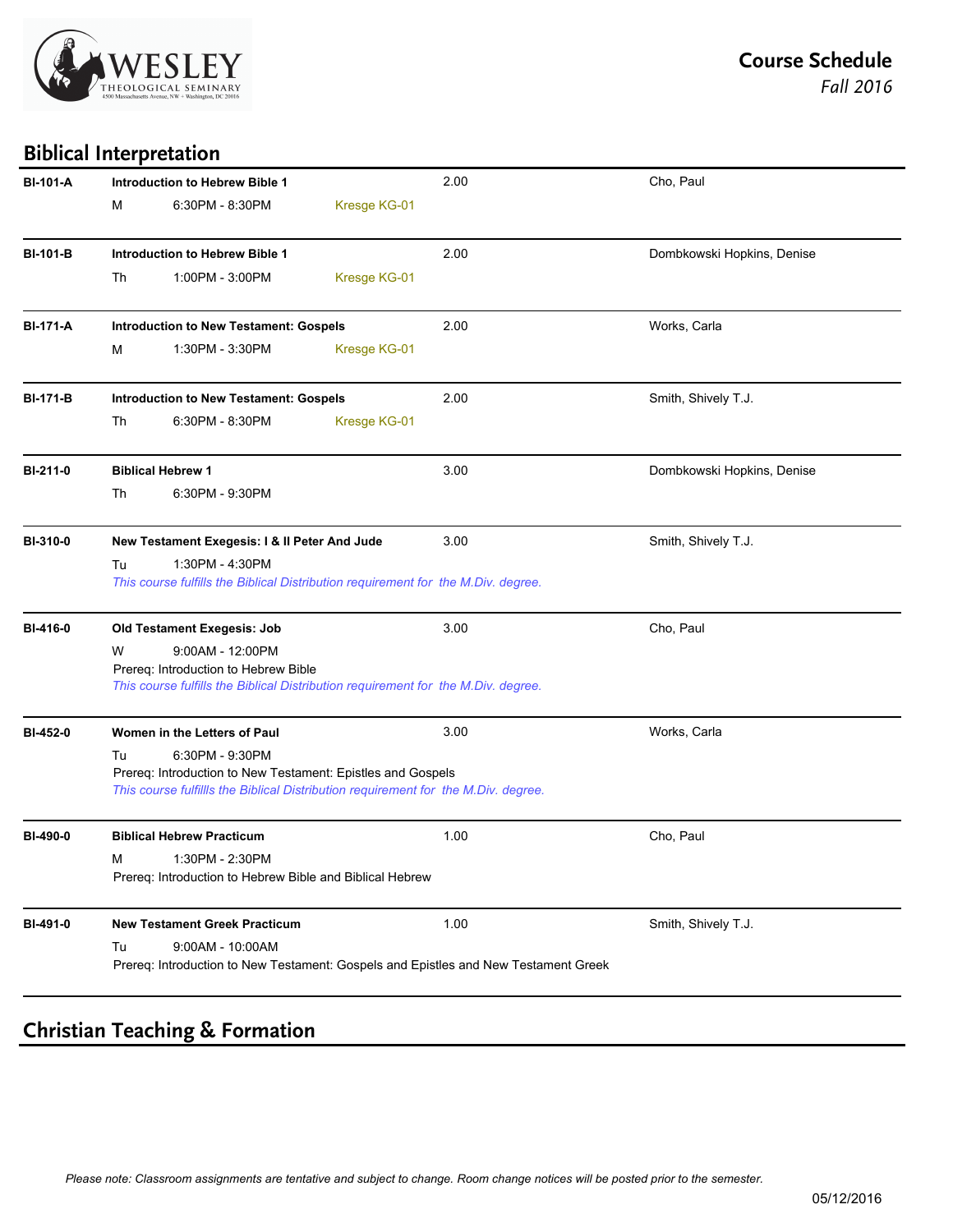

**Biblical Interpretation**

| <b>BI-101-A</b> |    | <b>Introduction to Hebrew Bible 1</b>                                                                                                                                |              | 2.00 | Cho, Paul                  |
|-----------------|----|----------------------------------------------------------------------------------------------------------------------------------------------------------------------|--------------|------|----------------------------|
|                 | М  | 6:30PM - 8:30PM                                                                                                                                                      | Kresge KG-01 |      |                            |
| <b>BI-101-B</b> |    | <b>Introduction to Hebrew Bible 1</b>                                                                                                                                |              | 2.00 | Dombkowski Hopkins, Denise |
|                 | Th | 1:00PM - 3:00PM                                                                                                                                                      | Kresge KG-01 |      |                            |
| <b>BI-171-A</b> |    | <b>Introduction to New Testament: Gospels</b>                                                                                                                        |              | 2.00 | Works, Carla               |
|                 | м  | 1:30PM - 3:30PM                                                                                                                                                      | Kresge KG-01 |      |                            |
| <b>BI-171-B</b> |    | <b>Introduction to New Testament: Gospels</b>                                                                                                                        |              | 2.00 | Smith, Shively T.J.        |
|                 | Th | 6:30PM - 8:30PM                                                                                                                                                      | Kresge KG-01 |      |                            |
| BI-211-0        |    | <b>Biblical Hebrew 1</b>                                                                                                                                             |              | 3.00 | Dombkowski Hopkins, Denise |
|                 | Th | 6:30PM - 9:30PM                                                                                                                                                      |              |      |                            |
| <b>BI-310-0</b> |    | New Testament Exegesis: I & II Peter And Jude                                                                                                                        |              | 3.00 | Smith, Shively T.J.        |
|                 | Tu | 1:30PM - 4:30PM<br>This course fulfills the Biblical Distribution requirement for the M.Div. degree.                                                                 |              |      |                            |
| BI-416-0        |    | Old Testament Exegesis: Job                                                                                                                                          |              | 3.00 | Cho, Paul                  |
|                 | W  | 9:00AM - 12:00PM<br>Prereq: Introduction to Hebrew Bible<br>This course fulfills the Biblical Distribution requirement for the M.Div. degree.                        |              |      |                            |
| BI-452-0        |    | Women in the Letters of Paul                                                                                                                                         |              | 3.00 | Works, Carla               |
|                 | Tu | 6:30PM - 9:30PM<br>Prereq: Introduction to New Testament: Epistles and Gospels<br>This course fulfillls the Biblical Distribution requirement for the M.Div. degree. |              |      |                            |
| BI-490-0        |    | <b>Biblical Hebrew Practicum</b>                                                                                                                                     |              | 1.00 | Cho, Paul                  |
|                 |    | 1:30PM - 2:30PM<br>Prereq: Introduction to Hebrew Bible and Biblical Hebrew                                                                                          |              |      |                            |
| BI-491-0        |    | <b>New Testament Greek Practicum</b>                                                                                                                                 |              | 1.00 | Smith, Shively T.J.        |
|                 | Tu | $9:00AM - 10:00AM$<br>Prereq: Introduction to New Testament: Gospels and Epistles and New Testament Greek                                                            |              |      |                            |
|                 |    |                                                                                                                                                                      |              |      |                            |

## **Christian Teaching & Formation**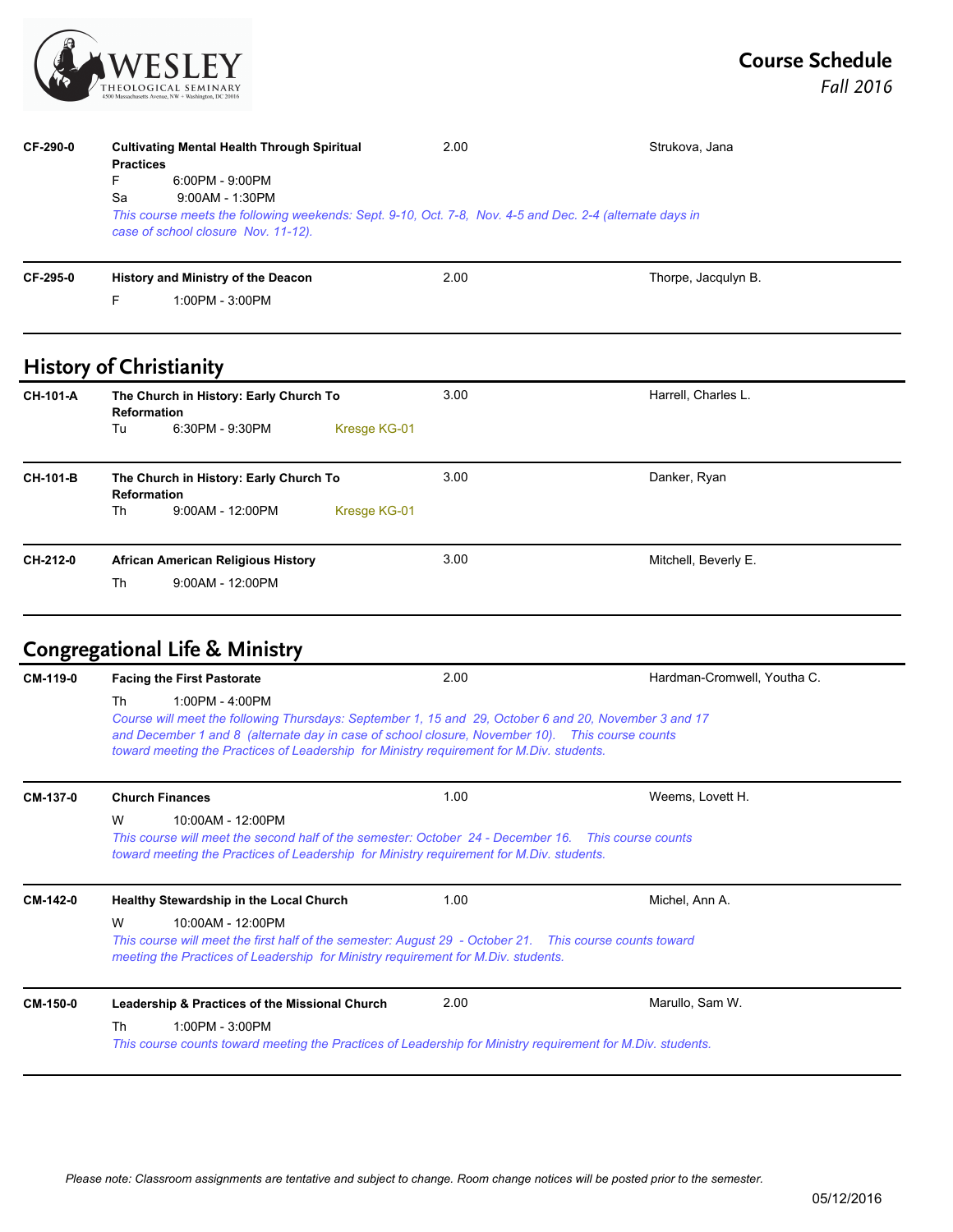

| CF-290-0 | <b>Practices</b><br>F<br>Sa | <b>Cultivating Mental Health Through Spiritual</b><br>6:00PM - 9:00PM<br>$9:00AM - 1:30PM$<br>This course meets the following weekends: Sept. 9-10, Oct. 7-8, Nov. 4-5 and Dec. 2-4 (alternate days in<br>case of school closure Nov. 11-12). | 2.00 | Strukova, Jana      |  |
|----------|-----------------------------|-----------------------------------------------------------------------------------------------------------------------------------------------------------------------------------------------------------------------------------------------|------|---------------------|--|
| CF-295-0 | F                           | History and Ministry of the Deacon<br>1:00PM - 3:00PM                                                                                                                                                                                         | 2.00 | Thorpe, Jacqulyn B. |  |

# **History of Christianity**

| <b>CH-101-A</b> | The Church in History: Early Church To<br><b>Reformation</b><br>Tu<br>$6:30PM - 9:30PM$<br>Kresge KG-01         | 3.00 | Harrell, Charles L.  |
|-----------------|-----------------------------------------------------------------------------------------------------------------|------|----------------------|
| <b>CH-101-B</b> | The Church in History: Early Church To<br><b>Reformation</b><br><b>Th</b><br>$9:00AM - 12:00PM$<br>Kresge KG-01 | 3.00 | Danker, Ryan         |
| CH-212-0        | <b>African American Religious History</b><br>Th<br>$9:00AM - 12:00PM$                                           | 3.00 | Mitchell, Beverly E. |

# **Congregational Life & Ministry**

| CM-119-0 | <b>Facing the First Pastorate</b>                                                                                                                                                                                                                                                                                               | 2.00 | Hardman-Cromwell, Youtha C. |
|----------|---------------------------------------------------------------------------------------------------------------------------------------------------------------------------------------------------------------------------------------------------------------------------------------------------------------------------------|------|-----------------------------|
|          | $1:00PM - 4:00PM$<br>Th<br>Course will meet the following Thursdays: September 1, 15 and 29, October 6 and 20, November 3 and 17<br>and December 1 and 8 (alternate day in case of school closure, November 10). This course counts<br>toward meeting the Practices of Leadership for Ministry requirement for M.Div. students. |      |                             |
| CM-137-0 | <b>Church Finances</b>                                                                                                                                                                                                                                                                                                          | 1.00 | Weems, Lovett H.            |
|          | W<br>10:00AM - 12:00PM<br>This course will meet the second half of the semester: October 24 - December 16. This course counts<br>toward meeting the Practices of Leadership for Ministry requirement for M.Div. students.                                                                                                       |      |                             |
| CM-142-0 | <b>Healthy Stewardship in the Local Church</b>                                                                                                                                                                                                                                                                                  | 1.00 | Michel, Ann A.              |
|          | W<br>10:00AM - 12:00PM<br>This course will meet the first half of the semester: August 29 - October 21. This course counts toward<br>meeting the Practices of Leadership for Ministry requirement for M.Div. students.                                                                                                          |      |                             |
| CM-150-0 | Leadership & Practices of the Missional Church                                                                                                                                                                                                                                                                                  | 2.00 | Marullo, Sam W.             |
|          | $1:00PM - 3:00PM$<br>Th<br>This course counts toward meeting the Practices of Leadership for Ministry requirement for M.Div. students.                                                                                                                                                                                          |      |                             |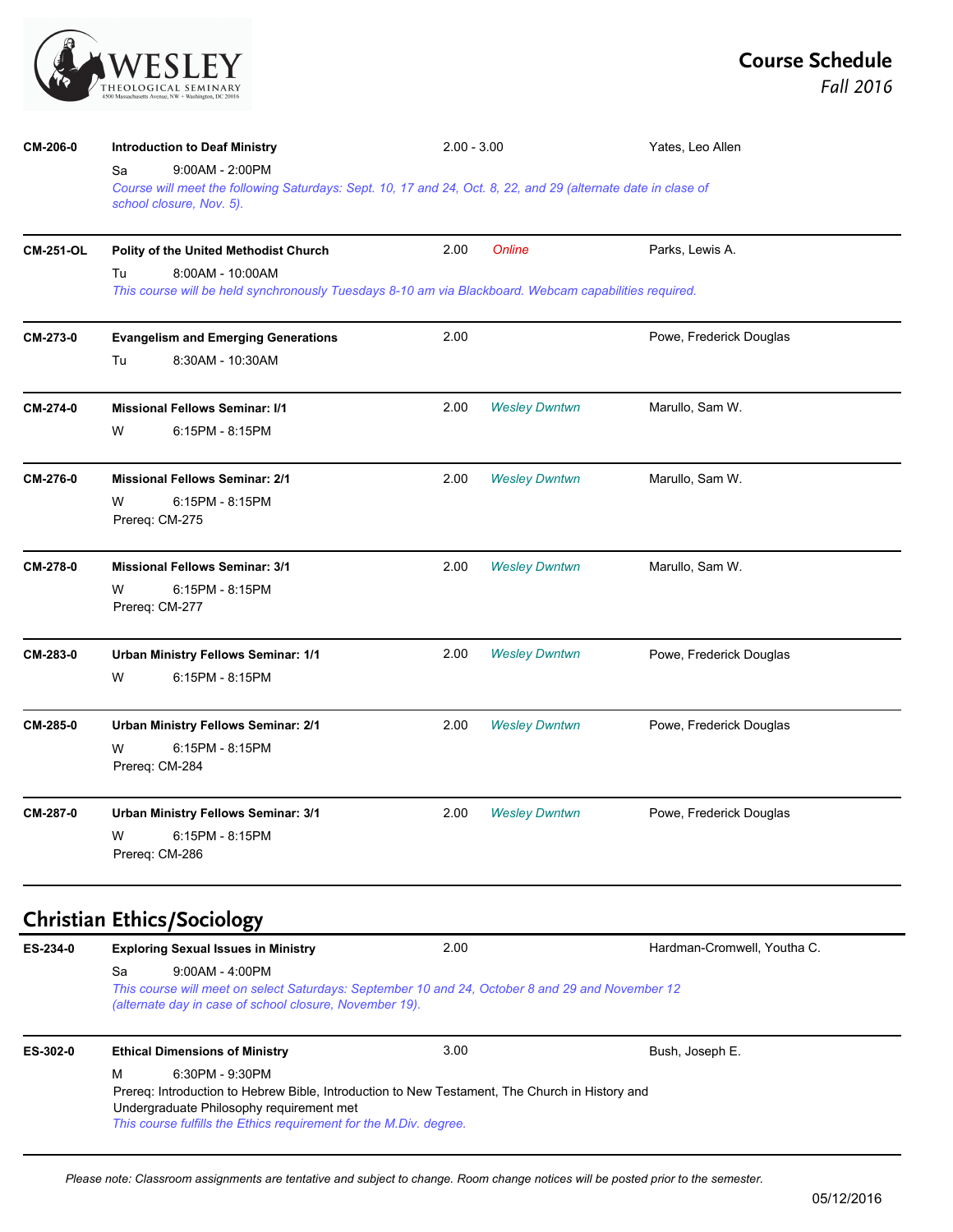| THEOLOGICAL SEMINARY                                 |
|------------------------------------------------------|
| 4500 Massachusetts Avenue, NW + Washington, DC 20016 |

| CM-206-0         | <b>Introduction to Deaf Ministry</b>                                                                                                                                                   | $2.00 - 3.00$ |                      | Yates, Leo Allen            |  |
|------------------|----------------------------------------------------------------------------------------------------------------------------------------------------------------------------------------|---------------|----------------------|-----------------------------|--|
|                  | 9:00AM - 2:00PM<br>Sa<br>Course will meet the following Saturdays: Sept. 10, 17 and 24, Oct. 8, 22, and 29 (alternate date in clase of<br>school closure, Nov. 5).                     |               |                      |                             |  |
| <b>CM-251-OL</b> | Polity of the United Methodist Church                                                                                                                                                  | 2.00          | Online               | Parks, Lewis A.             |  |
|                  | 8:00AM - 10:00AM<br>Tu<br>This course will be held synchronously Tuesdays 8-10 am via Blackboard. Webcam capabilities required.                                                        |               |                      |                             |  |
| CM-273-0         | <b>Evangelism and Emerging Generations</b>                                                                                                                                             | 2.00          |                      | Powe, Frederick Douglas     |  |
|                  | Tu<br>8:30AM - 10:30AM                                                                                                                                                                 |               |                      |                             |  |
| CM-274-0         | <b>Missional Fellows Seminar: I/1</b>                                                                                                                                                  | 2.00          | <b>Wesley Dwntwn</b> | Marullo, Sam W.             |  |
|                  | 6:15PM - 8:15PM<br>W                                                                                                                                                                   |               |                      |                             |  |
| CM-276-0         | <b>Missional Fellows Seminar: 2/1</b>                                                                                                                                                  | 2.00          | <b>Wesley Dwntwn</b> | Marullo, Sam W.             |  |
|                  | W<br>6:15PM - 8:15PM<br>Prereq: CM-275                                                                                                                                                 |               |                      |                             |  |
| CM-278-0         | <b>Missional Fellows Seminar: 3/1</b>                                                                                                                                                  | 2.00          | <b>Wesley Dwntwn</b> | Marullo, Sam W.             |  |
|                  | 6:15PM - 8:15PM<br>W<br>Prereq: CM-277                                                                                                                                                 |               |                      |                             |  |
| CM-283-0         | Urban Ministry Fellows Seminar: 1/1                                                                                                                                                    | 2.00          | <b>Wesley Dwntwn</b> | Powe, Frederick Douglas     |  |
|                  | W<br>6:15PM - 8:15PM                                                                                                                                                                   |               |                      |                             |  |
| CM-285-0         | Urban Ministry Fellows Seminar: 2/1                                                                                                                                                    | 2.00          | <b>Wesley Dwntwn</b> | Powe, Frederick Douglas     |  |
|                  | 6:15PM - 8:15PM<br>W<br>Prereq: CM-284                                                                                                                                                 |               |                      |                             |  |
| CM-287-0         | Urban Ministry Fellows Seminar: 3/1                                                                                                                                                    | 2.00          | <b>Wesley Dwntwn</b> | Powe, Frederick Douglas     |  |
|                  | 6:15PM - 8:15PM<br>W<br>Prereq: CM-286                                                                                                                                                 |               |                      |                             |  |
|                  | <b>Christian Ethics/Sociology</b>                                                                                                                                                      |               |                      |                             |  |
| ES-234-0         | <b>Exploring Sexual Issues in Ministry</b>                                                                                                                                             | 2.00          |                      | Hardman-Cromwell, Youtha C. |  |
|                  | Sa<br>$9:00AM - 4:00PM$<br>This course will meet on select Saturdays: September 10 and 24, October 8 and 29 and November 12<br>(alternate day in case of school closure, November 19). |               |                      |                             |  |
| ES-302-0         | <b>Ethical Dimensions of Ministry</b>                                                                                                                                                  | 3.00          |                      | Bush, Joseph E.             |  |
|                  | 6:30PM - 9:30PM<br>м                                                                                                                                                                   |               |                      |                             |  |

Prereq: Introduction to Hebrew Bible, Introduction to New Testament, The Church in History and Undergraduate Philosophy requirement met *This course fulfills the Ethics requirement for the M.Div. degree.*

*Please note: Classroom assignments are tentative and subject to change. Room change notices will be posted prior to the semester.*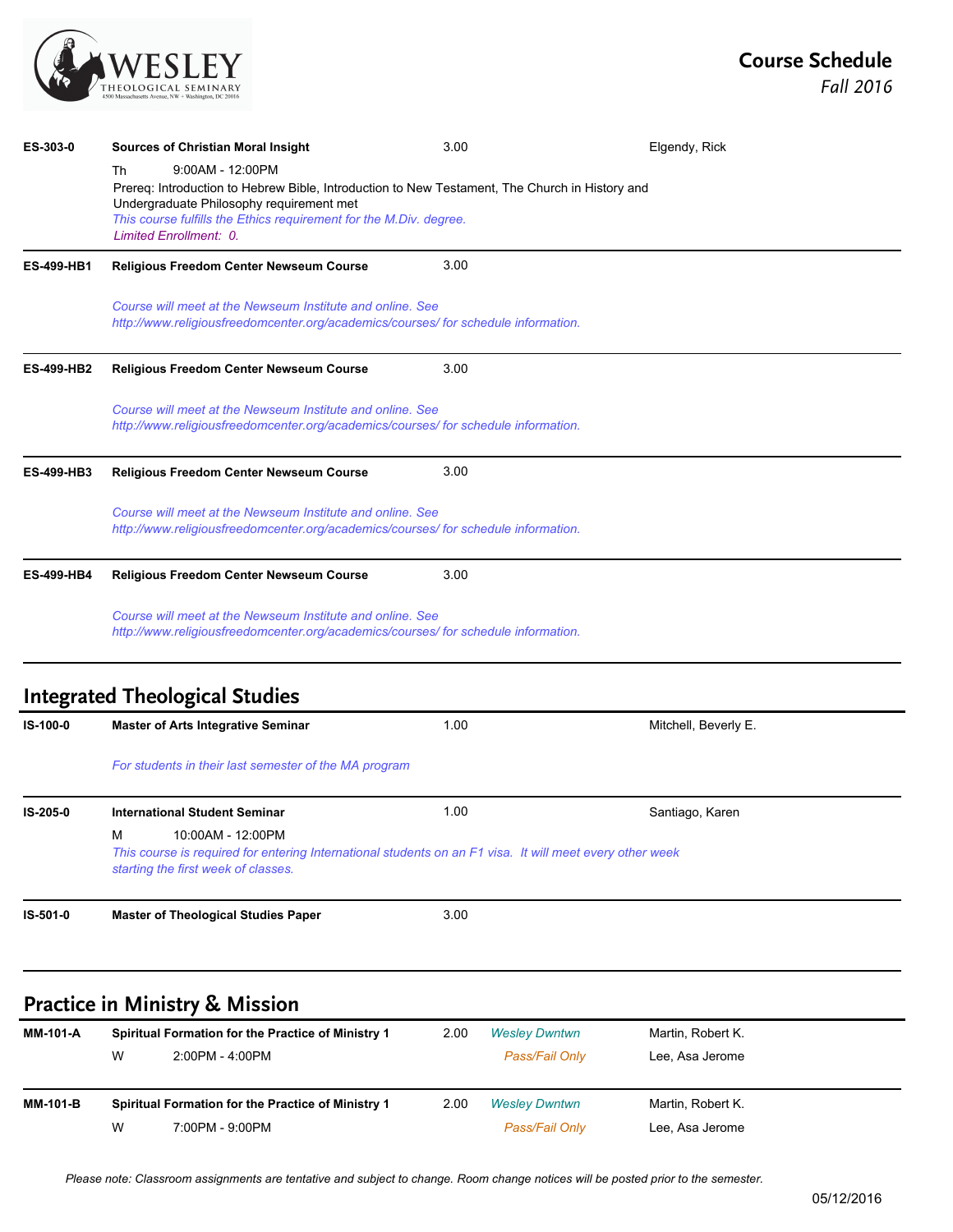

| ES-303-0          | <b>Sources of Christian Moral Insight</b>                                                                                                                                 | 3.00 | Elgendy, Rick        |
|-------------------|---------------------------------------------------------------------------------------------------------------------------------------------------------------------------|------|----------------------|
|                   | $9:00AM - 12:00PM$<br>Th                                                                                                                                                  |      |                      |
|                   | Prereq: Introduction to Hebrew Bible, Introduction to New Testament, The Church in History and                                                                            |      |                      |
|                   | Undergraduate Philosophy requirement met<br>This course fulfills the Ethics requirement for the M.Div. degree.                                                            |      |                      |
|                   | Limited Enrollment: 0.                                                                                                                                                    |      |                      |
| <b>ES-499-HB1</b> | <b>Religious Freedom Center Newseum Course</b>                                                                                                                            | 3.00 |                      |
|                   | Course will meet at the Newseum Institute and online. See<br>http://www.religiousfreedomcenter.org/academics/courses/ for schedule information.                           |      |                      |
| <b>ES-499-HB2</b> | <b>Religious Freedom Center Newseum Course</b>                                                                                                                            | 3.00 |                      |
|                   | Course will meet at the Newseum Institute and online. See<br>http://www.religiousfreedomcenter.org/academics/courses/ for schedule information.                           |      |                      |
| <b>ES-499-HB3</b> | Religious Freedom Center Newseum Course                                                                                                                                   | 3.00 |                      |
|                   | Course will meet at the Newseum Institute and online. See<br>http://www.religiousfreedomcenter.org/academics/courses/ for schedule information.                           |      |                      |
| <b>ES-499-HB4</b> | <b>Religious Freedom Center Newseum Course</b>                                                                                                                            | 3.00 |                      |
|                   | Course will meet at the Newseum Institute and online. See<br>http://www.religiousfreedomcenter.org/academics/courses/ for schedule information.                           |      |                      |
|                   | <b>Integrated Theological Studies</b>                                                                                                                                     |      |                      |
| IS-100-0          | <b>Master of Arts Integrative Seminar</b>                                                                                                                                 | 1.00 | Mitchell, Beverly E. |
|                   | For students in their last semester of the MA program                                                                                                                     |      |                      |
| IS-205-0          | <b>International Student Seminar</b>                                                                                                                                      | 1.00 | Santiago, Karen      |
|                   | M<br>10:00AM - 12:00PM<br>This course is required for entering International students on an F1 visa. It will meet every other week<br>starting the first week of classes. |      |                      |
| IS-501-0          | <b>Master of Theological Studies Paper</b>                                                                                                                                | 3.00 |                      |
|                   |                                                                                                                                                                           |      |                      |
|                   | <b>Practice in Ministry &amp; Mission</b>                                                                                                                                 |      |                      |

| <b>MM-101-A</b> |   | Spiritual Formation for the Practice of Ministry 1 | 2.00 | <b>Wesley Dwntwn</b> | Martin, Robert K. |
|-----------------|---|----------------------------------------------------|------|----------------------|-------------------|
|                 | W | 2:00PM - 4:00PM                                    |      | Pass/Fail Only       | Lee, Asa Jerome   |
|                 |   |                                                    |      |                      |                   |
| <b>MM-101-B</b> |   | Spiritual Formation for the Practice of Ministry 1 | 2.00 | <b>Wesley Dwntwn</b> | Martin, Robert K. |
|                 | W | 7:00PM - 9:00PM                                    |      | Pass/Fail Only       | Lee, Asa Jerome   |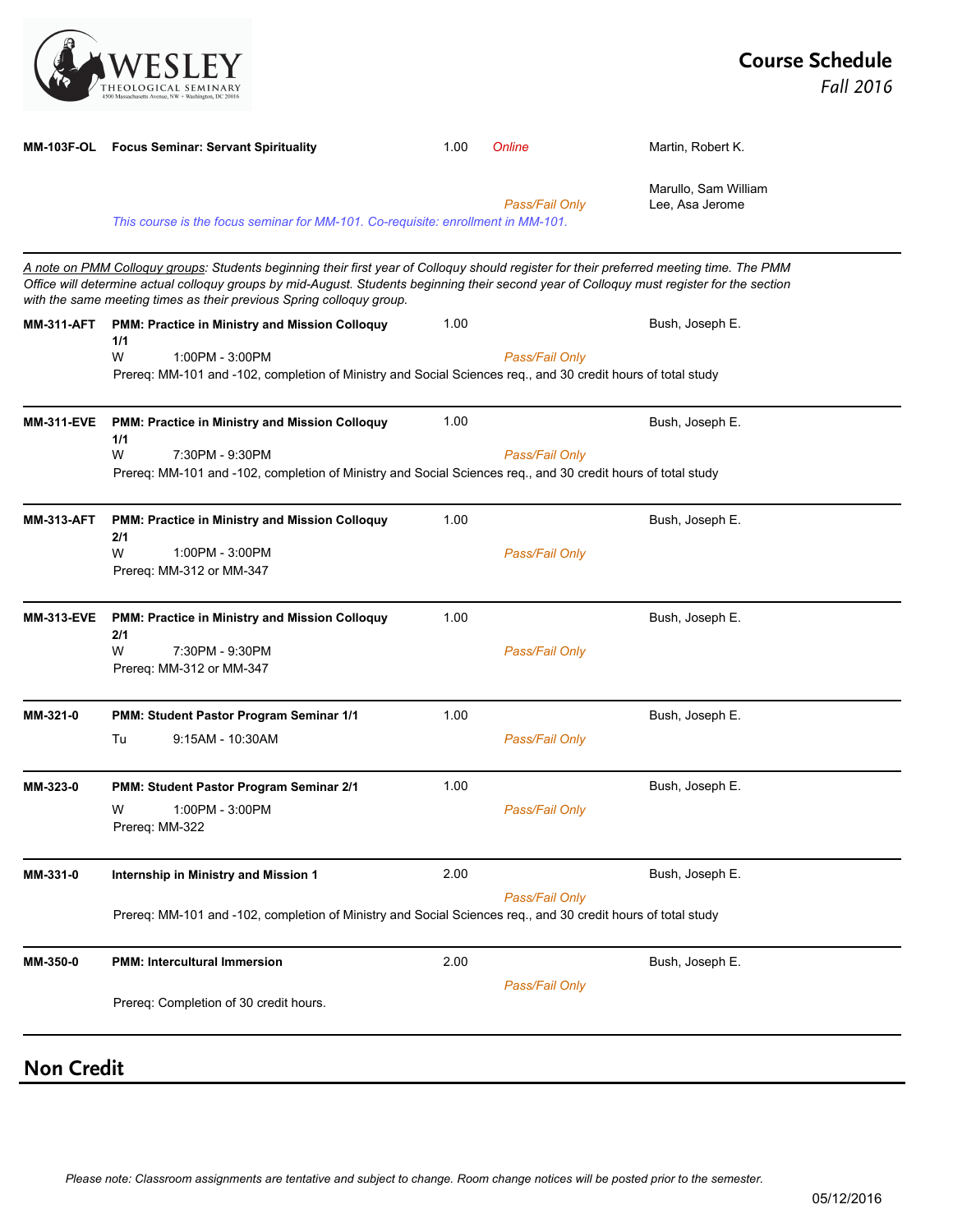

|                   | MM-103F-OL Focus Seminar: Servant Spirituality                                                                                                                                                                                                                                                                                                                 | 1.00 | Online         | Martin, Robert K.                       |
|-------------------|----------------------------------------------------------------------------------------------------------------------------------------------------------------------------------------------------------------------------------------------------------------------------------------------------------------------------------------------------------------|------|----------------|-----------------------------------------|
|                   | This course is the focus seminar for MM-101. Co-requisite: enrollment in MM-101.                                                                                                                                                                                                                                                                               |      | Pass/Fail Only | Marullo, Sam William<br>Lee, Asa Jerome |
|                   | A note on PMM Colloguy groups: Students beginning their first year of Colloquy should register for their preferred meeting time. The PMM<br>Office will determine actual colloquy groups by mid-August. Students beginning their second year of Colloquy must register for the section<br>with the same meeting times as their previous Spring colloquy group. |      |                |                                         |
| <b>MM-311-AFT</b> | PMM: Practice in Ministry and Mission Colloquy                                                                                                                                                                                                                                                                                                                 | 1.00 |                | Bush, Joseph E.                         |
|                   | 1/1<br>1:00PM - 3:00PM<br>W<br>Prereq: MM-101 and -102, completion of Ministry and Social Sciences req., and 30 credit hours of total study                                                                                                                                                                                                                    |      | Pass/Fail Only |                                         |
| <b>MM-311-EVE</b> | PMM: Practice in Ministry and Mission Colloquy<br>1/1                                                                                                                                                                                                                                                                                                          | 1.00 |                | Bush, Joseph E.                         |
|                   | W<br>7:30PM - 9:30PM<br>Prereq: MM-101 and -102, completion of Ministry and Social Sciences req., and 30 credit hours of total study                                                                                                                                                                                                                           |      | Pass/Fail Only |                                         |
| <b>MM-313-AFT</b> | PMM: Practice in Ministry and Mission Colloquy<br>2/1                                                                                                                                                                                                                                                                                                          | 1.00 |                | Bush, Joseph E.                         |
|                   | W<br>1:00PM - 3:00PM<br>Prereq: MM-312 or MM-347                                                                                                                                                                                                                                                                                                               |      | Pass/Fail Only |                                         |
| <b>MM-313-EVE</b> | PMM: Practice in Ministry and Mission Colloquy<br>2/1                                                                                                                                                                                                                                                                                                          | 1.00 |                | Bush, Joseph E.                         |
|                   | W<br>7:30PM - 9:30PM<br>Prereq: MM-312 or MM-347                                                                                                                                                                                                                                                                                                               |      | Pass/Fail Only |                                         |
| MM-321-0          | PMM: Student Pastor Program Seminar 1/1                                                                                                                                                                                                                                                                                                                        | 1.00 |                | Bush, Joseph E.                         |
|                   | Tu<br>9:15AM - 10:30AM                                                                                                                                                                                                                                                                                                                                         |      | Pass/Fail Only |                                         |
| MM-323-0          | PMM: Student Pastor Program Seminar 2/1                                                                                                                                                                                                                                                                                                                        | 1.00 |                | Bush, Joseph E.                         |
|                   | 1:00PM - 3:00PM<br>W<br>Prereq: MM-322                                                                                                                                                                                                                                                                                                                         |      | Pass/Fail Only |                                         |
| MM-331-0          | Internship in Ministry and Mission 1                                                                                                                                                                                                                                                                                                                           | 2.00 |                | Bush, Joseph E.                         |
|                   | Prereq: MM-101 and -102, completion of Ministry and Social Sciences req., and 30 credit hours of total study                                                                                                                                                                                                                                                   |      | Pass/Fail Only |                                         |
| MM-350-0          | <b>PMM: Intercultural Immersion</b>                                                                                                                                                                                                                                                                                                                            | 2.00 |                | Bush, Joseph E.                         |
|                   | Prereq: Completion of 30 credit hours.                                                                                                                                                                                                                                                                                                                         |      | Pass/Fail Only |                                         |
| <b>Non Credit</b> |                                                                                                                                                                                                                                                                                                                                                                |      |                |                                         |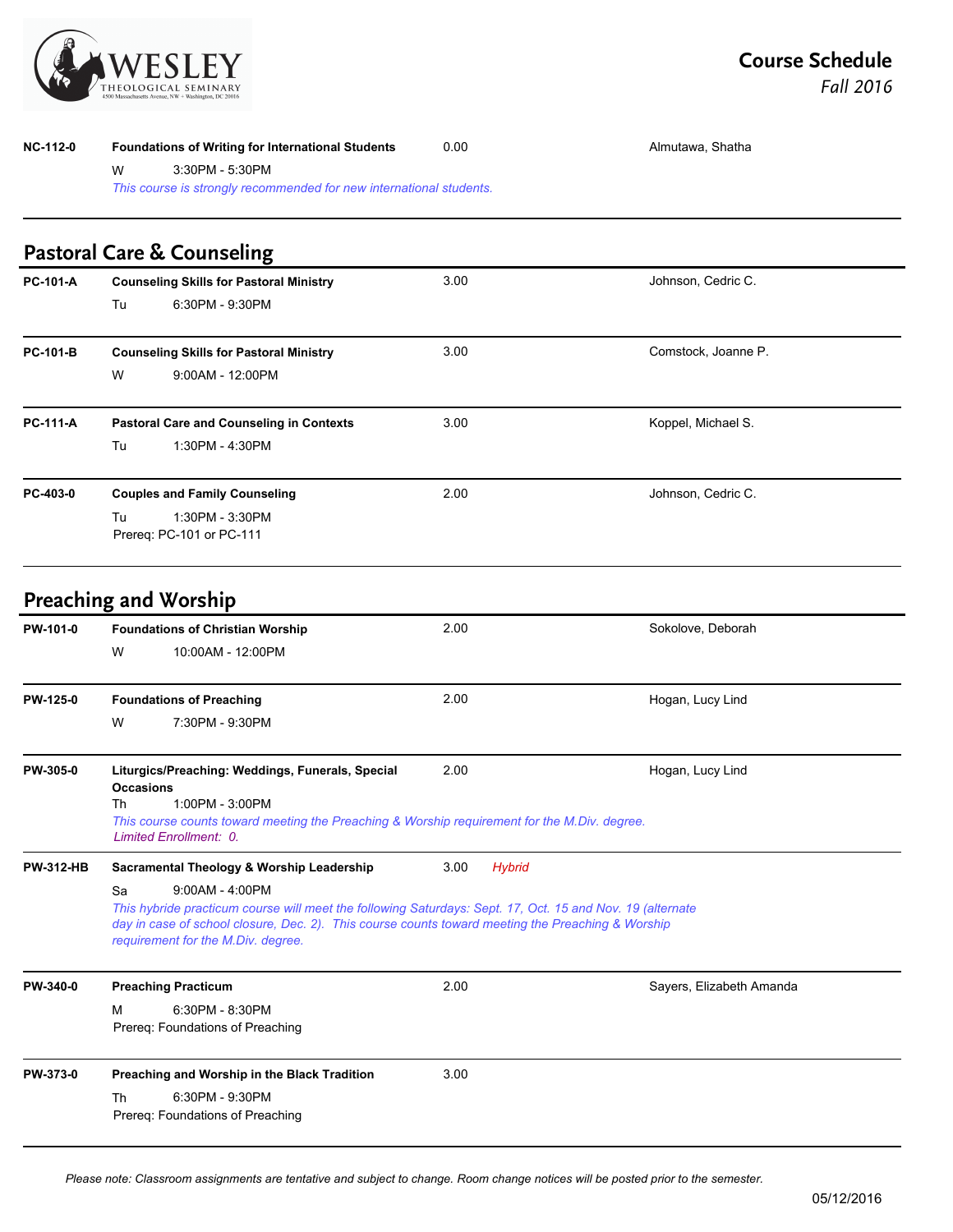

| <b>NC-112-0</b> |                                                                     | Foundations of Writing for International Students | 0.00 | Almutawa, Shatha    |  |  |  |
|-----------------|---------------------------------------------------------------------|---------------------------------------------------|------|---------------------|--|--|--|
|                 | W                                                                   | 3:30PM - 5:30PM                                   |      |                     |  |  |  |
|                 | This course is strongly recommended for new international students. |                                                   |      |                     |  |  |  |
|                 |                                                                     | <b>Pastoral Care &amp; Counseling</b>             |      |                     |  |  |  |
| <b>PC-101-A</b> |                                                                     | <b>Counseling Skills for Pastoral Ministry</b>    | 3.00 | Johnson, Cedric C.  |  |  |  |
|                 | Tu                                                                  | 6:30PM - 9:30PM                                   |      |                     |  |  |  |
| <b>PC-101-B</b> |                                                                     | <b>Counseling Skills for Pastoral Ministry</b>    | 3.00 | Comstock, Joanne P. |  |  |  |
|                 | W                                                                   | $9:00AM - 12:00PM$                                |      |                     |  |  |  |
| <b>PC-111-A</b> |                                                                     | <b>Pastoral Care and Counseling in Contexts</b>   | 3.00 | Koppel, Michael S.  |  |  |  |
|                 | Tu                                                                  | 1:30PM - 4:30PM                                   |      |                     |  |  |  |
| PC-403-0        |                                                                     | <b>Couples and Family Counseling</b>              | 2.00 | Johnson, Cedric C.  |  |  |  |

Tu 1:30PM - 3:30PM Prereq: PC-101 or PC-111

#### **Preaching and Worship**

| PW-101-0         | <b>Foundations of Christian Worship</b>                                                                                                                                                                                                                                         | 2.00                  | Sokolove, Deborah        |
|------------------|---------------------------------------------------------------------------------------------------------------------------------------------------------------------------------------------------------------------------------------------------------------------------------|-----------------------|--------------------------|
|                  | 10:00AM - 12:00PM<br>W                                                                                                                                                                                                                                                          |                       |                          |
| PW-125-0         | <b>Foundations of Preaching</b>                                                                                                                                                                                                                                                 | 2.00                  | Hogan, Lucy Lind         |
|                  | 7:30PM - 9:30PM<br>W                                                                                                                                                                                                                                                            |                       |                          |
| PW-305-0         | Liturgics/Preaching: Weddings, Funerals, Special<br><b>Occasions</b><br>$1:00PM - 3:00PM$<br>Th<br>This course counts toward meeting the Preaching & Worship requirement for the M.Div. degree.<br>Limited Enrollment: 0.                                                       | 2.00                  | Hogan, Lucy Lind         |
| <b>PW-312-HB</b> | Sacramental Theology & Worship Leadership                                                                                                                                                                                                                                       | <b>Hybrid</b><br>3.00 |                          |
|                  | $9:00AM - 4:00PM$<br>Sa<br>This hybride practicum course will meet the following Saturdays: Sept. 17, Oct. 15 and Nov. 19 (alternate<br>day in case of school closure, Dec. 2). This course counts toward meeting the Preaching & Worship<br>requirement for the M.Div. degree. |                       |                          |
| PW-340-0         | <b>Preaching Practicum</b>                                                                                                                                                                                                                                                      | 2.00                  | Sayers, Elizabeth Amanda |
|                  | 6:30PM - 8:30PM<br>м<br>Prereq: Foundations of Preaching                                                                                                                                                                                                                        |                       |                          |
| PW-373-0         | Preaching and Worship in the Black Tradition                                                                                                                                                                                                                                    | 3.00                  |                          |
|                  | 6:30PM - 9:30PM<br>Th<br>Prereq: Foundations of Preaching                                                                                                                                                                                                                       |                       |                          |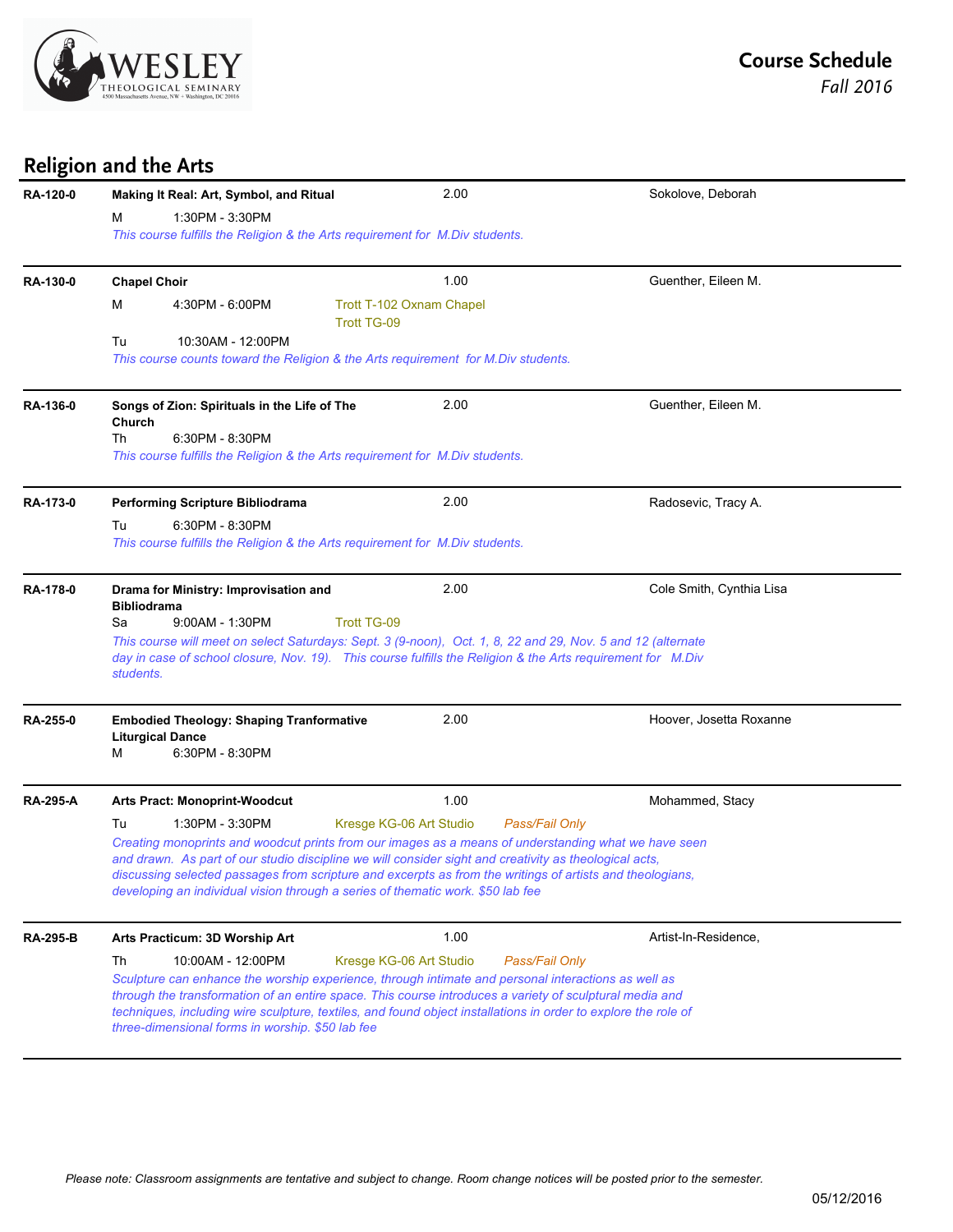

#### **Religion and the Arts**

| <b>RA-120-0</b> | Making It Real: Art, Symbol, and Ritual                                                                                                                                                                                                                                                                                                                                                                                                                                              | 2.00                                           | Sokolove, Deborah       |  |  |  |
|-----------------|--------------------------------------------------------------------------------------------------------------------------------------------------------------------------------------------------------------------------------------------------------------------------------------------------------------------------------------------------------------------------------------------------------------------------------------------------------------------------------------|------------------------------------------------|-------------------------|--|--|--|
|                 | 1:30PM - 3:30PM<br>м<br>This course fulfills the Religion & the Arts requirement for M.Div students.                                                                                                                                                                                                                                                                                                                                                                                 |                                                |                         |  |  |  |
| RA-130-0        | <b>Chapel Choir</b>                                                                                                                                                                                                                                                                                                                                                                                                                                                                  | 1.00                                           | Guenther, Eileen M.     |  |  |  |
|                 | 4:30PM - 6:00PM<br>М                                                                                                                                                                                                                                                                                                                                                                                                                                                                 | Trott T-102 Oxnam Chapel<br><b>Trott TG-09</b> |                         |  |  |  |
|                 | Tu<br>10:30AM - 12:00PM<br>This course counts toward the Religion & the Arts requirement for M.Div students.                                                                                                                                                                                                                                                                                                                                                                         |                                                |                         |  |  |  |
| RA-136-0        | Songs of Zion: Spirituals in the Life of The<br>Church<br>6:30PM - 8:30PM<br>Th<br>This course fulfills the Religion & the Arts requirement for M.Div students.                                                                                                                                                                                                                                                                                                                      | 2.00                                           | Guenther, Eileen M.     |  |  |  |
| RA-173-0        | <b>Performing Scripture Bibliodrama</b>                                                                                                                                                                                                                                                                                                                                                                                                                                              | 2.00                                           | Radosevic, Tracy A.     |  |  |  |
|                 | 6:30PM - 8:30PM<br>Tu<br>This course fulfills the Religion & the Arts requirement for M. Div students.                                                                                                                                                                                                                                                                                                                                                                               |                                                |                         |  |  |  |
| RA-178-0        | 2.00<br>Cole Smith, Cynthia Lisa<br>Drama for Ministry: Improvisation and<br><b>Bibliodrama</b><br>Sa<br>$9:00AM - 1:30PM$<br><b>Trott TG-09</b><br>This course will meet on select Saturdays: Sept. 3 (9-noon), Oct. 1, 8, 22 and 29, Nov. 5 and 12 (alternate<br>day in case of school closure, Nov. 19). This course fulfills the Religion & the Arts requirement for M.Div<br>students.                                                                                          |                                                |                         |  |  |  |
| RA-255-0        | <b>Embodied Theology: Shaping Tranformative</b><br><b>Liturgical Dance</b><br>6:30PM - 8:30PM<br>м                                                                                                                                                                                                                                                                                                                                                                                   | 2.00                                           | Hoover, Josetta Roxanne |  |  |  |
| <b>RA-295-A</b> | <b>Arts Pract: Monoprint-Woodcut</b>                                                                                                                                                                                                                                                                                                                                                                                                                                                 | 1.00                                           | Mohammed, Stacy         |  |  |  |
|                 | 1:30PM - 3:30PM<br>Kresge KG-06 Art Studio<br>Pass/Fail Only<br>Tu<br>Creating monoprints and woodcut prints from our images as a means of understanding what we have seen<br>and drawn. As part of our studio discipline we will consider sight and creativity as theological acts,<br>discussing selected passages from scripture and excerpts as from the writings of artists and theologians,<br>developing an individual vision through a series of thematic work. \$50 lab fee |                                                |                         |  |  |  |
| <b>RA-295-B</b> | Arts Practicum: 3D Worship Art                                                                                                                                                                                                                                                                                                                                                                                                                                                       | 1.00                                           | Artist-In-Residence,    |  |  |  |
|                 | Th<br>10:00AM - 12:00PM<br>Sculpture can enhance the worship experience, through intimate and personal interactions as well as<br>through the transformation of an entire space. This course introduces a variety of sculptural media and<br>techniques, including wire sculpture, textiles, and found object installations in order to explore the role of<br>three-dimensional forms in worship. \$50 lab fee                                                                      | Kresge KG-06 Art Studio                        | Pass/Fail Only          |  |  |  |